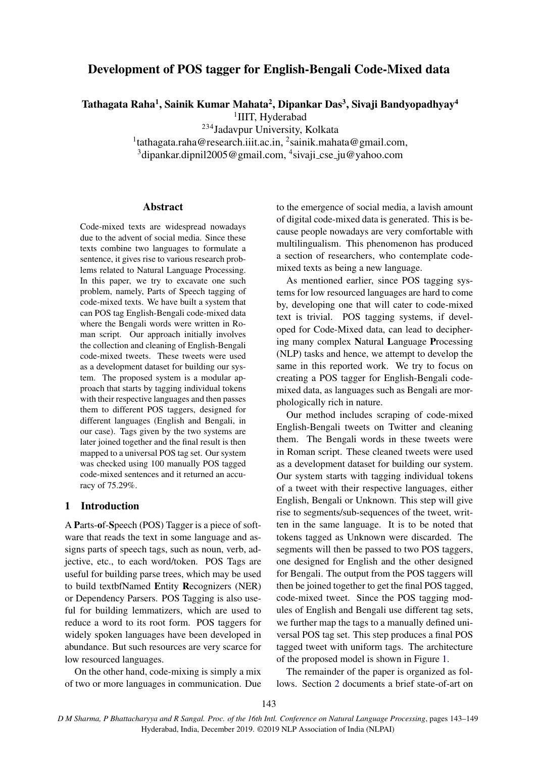# Development of POS tagger for English-Bengali Code-Mixed data

Tathagata Raha<sup>1</sup>, Sainik Kumar Mahata<sup>2</sup>, Dipankar Das<sup>3</sup>, Sivaji Bandyopadhyay<sup>4</sup>

<sup>1</sup>IIIT, Hyderabad

<sup>234</sup>Jadavpur University, Kolkata

<sup>1</sup>tathagata.raha@research.iiit.ac.in, <sup>2</sup>sainik.mahata@gmail.com,

<sup>3</sup>dipankar.dipnil2005@gmail.com, <sup>4</sup>sivaji\_cse\_ju@yahoo.com

#### Abstract

Code-mixed texts are widespread nowadays due to the advent of social media. Since these texts combine two languages to formulate a sentence, it gives rise to various research problems related to Natural Language Processing. In this paper, we try to excavate one such problem, namely, Parts of Speech tagging of code-mixed texts. We have built a system that can POS tag English-Bengali code-mixed data where the Bengali words were written in Roman script. Our approach initially involves the collection and cleaning of English-Bengali code-mixed tweets. These tweets were used as a development dataset for building our system. The proposed system is a modular approach that starts by tagging individual tokens with their respective languages and then passes them to different POS taggers, designed for different languages (English and Bengali, in our case). Tags given by the two systems are later joined together and the final result is then mapped to a universal POS tag set. Our system was checked using 100 manually POS tagged code-mixed sentences and it returned an accuracy of 75.29%.

# 1 Introduction

A Parts-of-Speech (POS) Tagger is a piece of software that reads the text in some language and assigns parts of speech tags, such as noun, verb, adjective, etc., to each word/token. POS Tags are useful for building parse trees, which may be used to build textbfNamed Entity Recognizers (NER) or Dependency Parsers. POS Tagging is also useful for building lemmatizers, which are used to reduce a word to its root form. POS taggers for widely spoken languages have been developed in abundance. But such resources are very scarce for low resourced languages.

On the other hand, code-mixing is simply a mix of two or more languages in communication. Due to the emergence of social media, a lavish amount of digital code-mixed data is generated. This is because people nowadays are very comfortable with multilingualism. This phenomenon has produced a section of researchers, who contemplate codemixed texts as being a new language.

As mentioned earlier, since POS tagging systems for low resourced languages are hard to come by, developing one that will cater to code-mixed text is trivial. POS tagging systems, if developed for Code-Mixed data, can lead to deciphering many complex Natural Language Processing (NLP) tasks and hence, we attempt to develop the same in this reported work. We try to focus on creating a POS tagger for English-Bengali codemixed data, as languages such as Bengali are morphologically rich in nature.

Our method includes scraping of code-mixed English-Bengali tweets on Twitter and cleaning them. The Bengali words in these tweets were in Roman script. These cleaned tweets were used as a development dataset for building our system. Our system starts with tagging individual tokens of a tweet with their respective languages, either English, Bengali or Unknown. This step will give rise to segments/sub-sequences of the tweet, written in the same language. It is to be noted that tokens tagged as Unknown were discarded. The segments will then be passed to two POS taggers, one designed for English and the other designed for Bengali. The output from the POS taggers will then be joined together to get the final POS tagged, code-mixed tweet. Since the POS tagging modules of English and Bengali use different tag sets, we further map the tags to a manually defined universal POS tag set. This step produces a final POS tagged tweet with uniform tags. The architecture of the proposed model is shown in Figure [1.](#page-1-0)

The remainder of the paper is organized as follows. Section [2](#page-1-1) documents a brief state-of-art on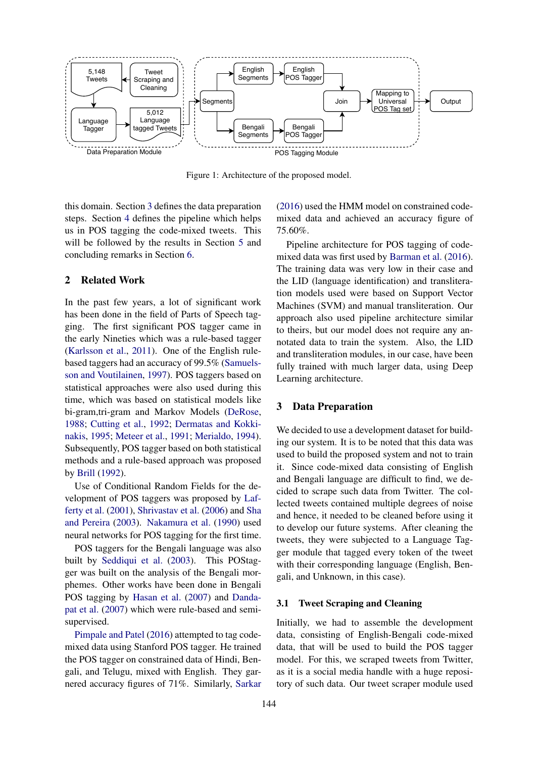<span id="page-1-0"></span>

Figure 1: Architecture of the proposed model.

this domain. Section [3](#page-1-2) defines the data preparation steps. Section [4](#page-2-0) defines the pipeline which helps us in POS tagging the code-mixed tweets. This will be followed by the results in Section [5](#page-4-0) and concluding remarks in Section [6.](#page-5-0)

## <span id="page-1-1"></span>2 Related Work

In the past few years, a lot of significant work has been done in the field of Parts of Speech tagging. The first significant POS tagger came in the early Nineties which was a rule-based tagger [\(Karlsson et al.,](#page-5-1) [2011\)](#page-5-1). One of the English rulebased taggers had an accuracy of 99.5% [\(Samuels](#page-6-0)[son and Voutilainen,](#page-6-0) [1997\)](#page-6-0). POS taggers based on statistical approaches were also used during this time, which was based on statistical models like bi-gram,tri-gram and Markov Models [\(DeRose,](#page-5-2) [1988;](#page-5-2) [Cutting et al.,](#page-5-3) [1992;](#page-5-3) [Dermatas and Kokki](#page-5-4)[nakis,](#page-5-4) [1995;](#page-5-4) [Meteer et al.,](#page-5-5) [1991;](#page-5-5) [Merialdo,](#page-5-6) [1994\)](#page-5-6). Subsequently, POS tagger based on both statistical methods and a rule-based approach was proposed by [Brill](#page-5-7) [\(1992\)](#page-5-7).

Use of Conditional Random Fields for the development of POS taggers was proposed by [Laf](#page-5-8)[ferty et al.](#page-5-8) [\(2001\)](#page-5-8), [Shrivastav et al.](#page-6-1) [\(2006\)](#page-6-1) and [Sha](#page-6-2) [and Pereira](#page-6-2) [\(2003\)](#page-6-2). [Nakamura et al.](#page-5-9) [\(1990\)](#page-5-9) used neural networks for POS tagging for the first time.

POS taggers for the Bengali language was also built by [Seddiqui et al.](#page-6-3) [\(2003\)](#page-6-3). This POStagger was built on the analysis of the Bengali morphemes. Other works have been done in Bengali POS tagging by [Hasan et al.](#page-5-10) [\(2007\)](#page-5-10) and [Danda](#page-5-11)[pat et al.](#page-5-11) [\(2007\)](#page-5-11) which were rule-based and semisupervised.

[Pimpale and Patel](#page-5-12) [\(2016\)](#page-5-12) attempted to tag codemixed data using Stanford POS tagger. He trained the POS tagger on constrained data of Hindi, Bengali, and Telugu, mixed with English. They garnered accuracy figures of 71%. Similarly, [Sarkar](#page-6-4)

[\(2016\)](#page-6-4) used the HMM model on constrained codemixed data and achieved an accuracy figure of 75.60%.

Pipeline architecture for POS tagging of codemixed data was first used by [Barman et al.](#page-5-13) [\(2016\)](#page-5-13). The training data was very low in their case and the LID (language identification) and transliteration models used were based on Support Vector Machines (SVM) and manual transliteration. Our approach also used pipeline architecture similar to theirs, but our model does not require any annotated data to train the system. Also, the LID and transliteration modules, in our case, have been fully trained with much larger data, using Deep Learning architecture.

#### <span id="page-1-2"></span>3 Data Preparation

We decided to use a development dataset for building our system. It is to be noted that this data was used to build the proposed system and not to train it. Since code-mixed data consisting of English and Bengali language are difficult to find, we decided to scrape such data from Twitter. The collected tweets contained multiple degrees of noise and hence, it needed to be cleaned before using it to develop our future systems. After cleaning the tweets, they were subjected to a Language Tagger module that tagged every token of the tweet with their corresponding language (English, Bengali, and Unknown, in this case).

#### 3.1 Tweet Scraping and Cleaning

Initially, we had to assemble the development data, consisting of English-Bengali code-mixed data, that will be used to build the POS tagger model. For this, we scraped tweets from Twitter, as it is a social media handle with a huge repository of such data. Our tweet scraper module used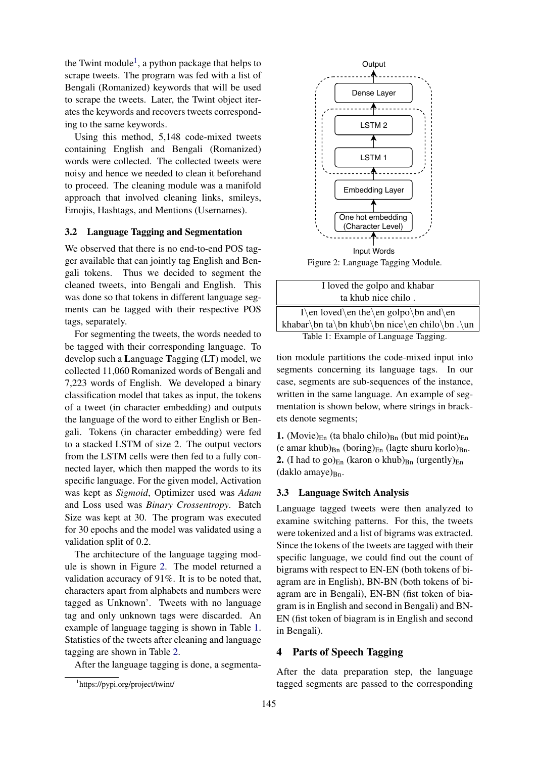the Twint module<sup>[1](#page-2-1)</sup>, a python package that helps to scrape tweets. The program was fed with a list of Bengali (Romanized) keywords that will be used to scrape the tweets. Later, the Twint object iterates the keywords and recovers tweets corresponding to the same keywords.

Using this method, 5,148 code-mixed tweets containing English and Bengali (Romanized) words were collected. The collected tweets were noisy and hence we needed to clean it beforehand to proceed. The cleaning module was a manifold approach that involved cleaning links, smileys, Emojis, Hashtags, and Mentions (Usernames).

#### 3.2 Language Tagging and Segmentation

We observed that there is no end-to-end POS tagger available that can jointly tag English and Bengali tokens. Thus we decided to segment the cleaned tweets, into Bengali and English. This was done so that tokens in different language segments can be tagged with their respective POS tags, separately.

For segmenting the tweets, the words needed to be tagged with their corresponding language. To develop such a Language Tagging (LT) model, we collected 11,060 Romanized words of Bengali and 7,223 words of English. We developed a binary classification model that takes as input, the tokens of a tweet (in character embedding) and outputs the language of the word to either English or Bengali. Tokens (in character embedding) were fed to a stacked LSTM of size 2. The output vectors from the LSTM cells were then fed to a fully connected layer, which then mapped the words to its specific language. For the given model, Activation was kept as *Sigmoid*, Optimizer used was *Adam* and Loss used was *Binary Crossentropy*. Batch Size was kept at 30. The program was executed for 30 epochs and the model was validated using a validation split of 0.2.

The architecture of the language tagging module is shown in Figure [2.](#page-2-2) The model returned a validation accuracy of 91%. It is to be noted that, characters apart from alphabets and numbers were tagged as Unknown'. Tweets with no language tag and only unknown tags were discarded. An example of language tagging is shown in Table [1.](#page-2-3) Statistics of the tweets after cleaning and language tagging are shown in Table [2.](#page-3-0)

After the language tagging is done, a segmenta-

<span id="page-2-2"></span>

Figure 2: Language Tagging Module.

<span id="page-2-3"></span>

| I loved the golpo and khabar                  |
|-----------------------------------------------|
| ta khub nice chilo.                           |
| I\en loved\en the\en golpo\bn and\en          |
| khabar\bn ta\bn khub\bn nice\en chilo\bn .\un |
| Table 1: Example of Language Tagging.         |

tion module partitions the code-mixed input into segments concerning its language tags. In our case, segments are sub-sequences of the instance, written in the same language. An example of segmentation is shown below, where strings in brackets denote segments;

1. (Movie) $_{En}$  (ta bhalo chilo) $_{Bn}$  (but mid point) $_{En}$ (e amar khub) $_{\text{Bn}}$  (boring) $_{\text{En}}$  (lagte shuru korlo) $_{\text{Bn}}$ . **2.** (I had to go) $_{En}$  (karon o khub) $_{Bn}$  (urgently) $_{En}$  $(daklo amaye)<sub>Bn</sub>$ .

## 3.3 Language Switch Analysis

Language tagged tweets were then analyzed to examine switching patterns. For this, the tweets were tokenized and a list of bigrams was extracted. Since the tokens of the tweets are tagged with their specific language, we could find out the count of bigrams with respect to EN-EN (both tokens of biagram are in English), BN-BN (both tokens of biagram are in Bengali), EN-BN (fist token of biagram is in English and second in Bengali) and BN-EN (fist token of biagram is in English and second in Bengali).

#### <span id="page-2-0"></span>4 Parts of Speech Tagging

After the data preparation step, the language tagged segments are passed to the corresponding

<span id="page-2-1"></span><sup>1</sup> https://pypi.org/project/twint/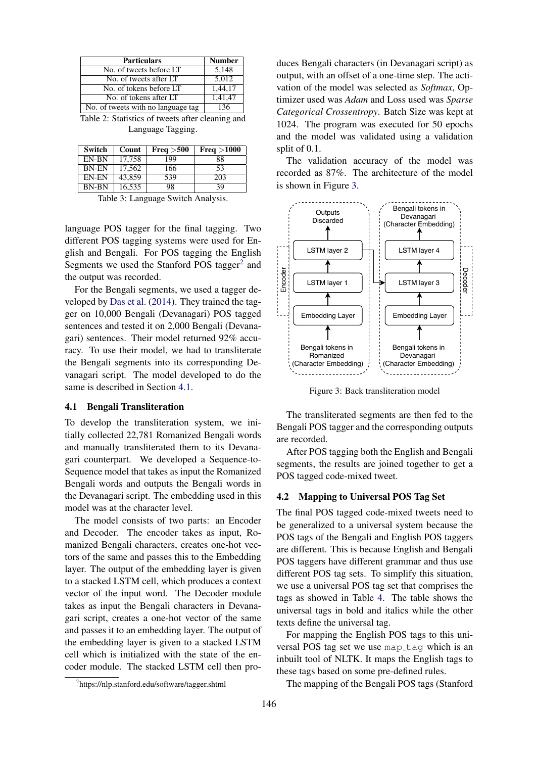<span id="page-3-0"></span>

| <b>Particulars</b>                 | <b>Number</b> |
|------------------------------------|---------------|
| No. of tweets before LT            | 5.148         |
| No. of tweets after LT             | 5.012         |
| No. of tokens before LT            | 1,44,17       |
| No. of tokens after LT             | 1,41,47       |
| No. of tweets with no language tag | 136           |

Table 2: Statistics of tweets after cleaning and Language Tagging.

| Switch       | Count  | Freq > 500 | Freq > 1000 |
|--------------|--------|------------|-------------|
| EN-BN        | 17,758 | 199        | 88          |
| <b>BN-EN</b> | 17,562 | 166        | 53          |
| EN-EN        | 43,859 | 539        | 203         |
| <b>BN-BN</b> | 16,535 | 98         | 39          |

Table 3: Language Switch Analysis.

language POS tagger for the final tagging. Two different POS tagging systems were used for English and Bengali. For POS tagging the English Segments we used the Stanford POS tagger<sup>[2](#page-3-1)</sup> and the output was recorded.

For the Bengali segments, we used a tagger developed by [Das et al.](#page-5-14) [\(2014\)](#page-5-14). They trained the tagger on 10,000 Bengali (Devanagari) POS tagged sentences and tested it on 2,000 Bengali (Devanagari) sentences. Their model returned 92% accuracy. To use their model, we had to transliterate the Bengali segments into its corresponding Devanagari script. The model developed to do the same is described in Section [4.1.](#page-3-2)

#### <span id="page-3-2"></span>4.1 Bengali Transliteration

To develop the transliteration system, we initially collected 22,781 Romanized Bengali words and manually transliterated them to its Devanagari counterpart. We developed a Sequence-to-Sequence model that takes as input the Romanized Bengali words and outputs the Bengali words in the Devanagari script. The embedding used in this model was at the character level.

The model consists of two parts: an Encoder and Decoder. The encoder takes as input, Romanized Bengali characters, creates one-hot vectors of the same and passes this to the Embedding layer. The output of the embedding layer is given to a stacked LSTM cell, which produces a context vector of the input word. The Decoder module takes as input the Bengali characters in Devanagari script, creates a one-hot vector of the same and passes it to an embedding layer. The output of the embedding layer is given to a stacked LSTM cell which is initialized with the state of the encoder module. The stacked LSTM cell then pro-

duces Bengali characters (in Devanagari script) as output, with an offset of a one-time step. The activation of the model was selected as *Softmax*, Optimizer used was *Adam* and Loss used was *Sparse Categorical Crossentropy*. Batch Size was kept at 1024. The program was executed for 50 epochs and the model was validated using a validation split of 0.1.

The validation accuracy of the model was recorded as 87%. The architecture of the model is shown in Figure [3.](#page-3-3)

<span id="page-3-3"></span>

Figure 3: Back transliteration model

The transliterated segments are then fed to the Bengali POS tagger and the corresponding outputs are recorded.

After POS tagging both the English and Bengali segments, the results are joined together to get a POS tagged code-mixed tweet.

## 4.2 Mapping to Universal POS Tag Set

The final POS tagged code-mixed tweets need to be generalized to a universal system because the POS tags of the Bengali and English POS taggers are different. This is because English and Bengali POS taggers have different grammar and thus use different POS tag sets. To simplify this situation, we use a universal POS tag set that comprises the tags as showed in Table [4.](#page-4-1) The table shows the universal tags in bold and italics while the other texts define the universal tag.

For mapping the English POS tags to this universal POS tag set we use map\_tag which is an inbuilt tool of NLTK. It maps the English tags to these tags based on some pre-defined rules.

The mapping of the Bengali POS tags (Stanford

<span id="page-3-1"></span><sup>2</sup> https://nlp.stanford.edu/software/tagger.shtml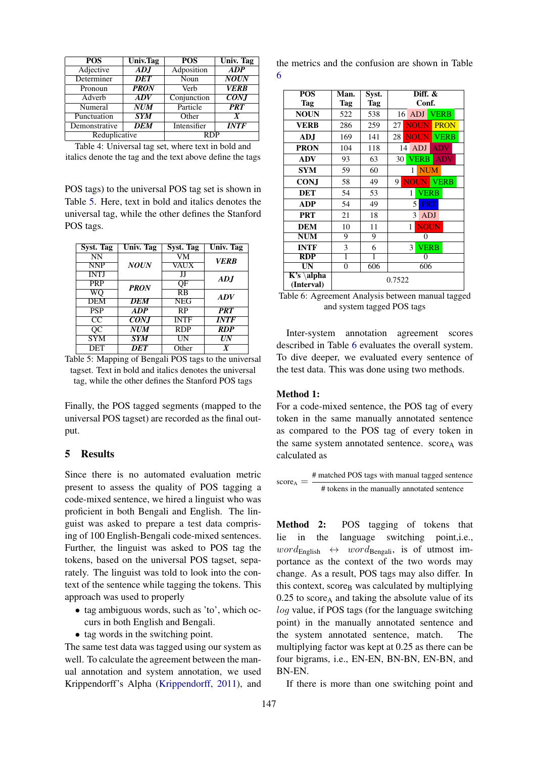<span id="page-4-1"></span>

| POS           | <b>Univ.Tag</b> | $\overline{POS}$ | <b>Univ. Tag</b>  |  |
|---------------|-----------------|------------------|-------------------|--|
| Adjective     | ADJ             | Adposition       | ADP               |  |
| Determiner    | <b>DET</b>      | Noun             | <b>NOUN</b>       |  |
| Pronoun       | <b>PRON</b>     | Verb             | <b>VERB</b>       |  |
| Adverb        | ADV             | Conjunction      | $\overline{CONJ}$ |  |
| Numeral       | NUM             | Particle         | <b>PRT</b>        |  |
| Punctuation   | STM             | Other            | X                 |  |
| Demonstrative | <b>DEM</b>      | Intensifier      | <b>INTF</b>       |  |
| Reduplicative |                 | <b>RDP</b>       |                   |  |

Table 4: Universal tag set, where text in bold and italics denote the tag and the text above define the tags

POS tags) to the universal POS tag set is shown in Table [5.](#page-4-2) Here, text in bold and italics denotes the universal tag, while the other defines the Stanford POS tags.

<span id="page-4-2"></span>

| Syst. Tag   | <b>Univ.</b> Tag | Syst. Tag   | Univ. Tag   |
|-------------|------------------|-------------|-------------|
| NN          |                  | VM          | <b>VERB</b> |
| <b>NNP</b>  | <b>NOUN</b>      | VAUX        |             |
| <b>INTJ</b> |                  | IJ          | ADJ         |
| <b>PRP</b>  | <b>PRON</b>      | OF          |             |
| WО          |                  | <b>RB</b>   | <b>ADV</b>  |
| <b>DEM</b>  | DEM              | <b>NEG</b>  |             |
| <b>PSP</b>  | <b>ADP</b>       | <b>RP</b>   | <b>PRT</b>  |
| CC          | <i>CON.I</i>     | <b>INTF</b> | <i>INTF</i> |
| QC          | NUM              | <b>RDP</b>  | <b>RDP</b>  |
| <b>SYM</b>  | <b>SYM</b>       | UN          | UN          |
| DET         | DET              | Other       | X           |

Table 5: Mapping of Bengali POS tags to the universal tagset. Text in bold and italics denotes the universal tag, while the other defines the Stanford POS tags

Finally, the POS tagged segments (mapped to the universal POS tagset) are recorded as the final output.

#### <span id="page-4-0"></span>5 Results

Since there is no automated evaluation metric present to assess the quality of POS tagging a code-mixed sentence, we hired a linguist who was proficient in both Bengali and English. The linguist was asked to prepare a test data comprising of 100 English-Bengali code-mixed sentences. Further, the linguist was asked to POS tag the tokens, based on the universal POS tagset, separately. The linguist was told to look into the context of the sentence while tagging the tokens. This approach was used to properly

- tag ambiguous words, such as 'to', which occurs in both English and Bengali.
- tag words in the switching point.

The same test data was tagged using our system as well. To calculate the agreement between the manual annotation and system annotation, we used Krippendorff's Alpha [\(Krippendorff,](#page-5-15) [2011\)](#page-5-15), and

the metrics and the confusion are shown in Table [6](#page-4-3)

<span id="page-4-3"></span>

| <b>POS</b><br><b>Tag</b>                                 | Man.<br><b>Tag</b>                                                       | Syst.<br><b>Tag</b> | Diff. &<br>Conf. |                  |             |  |
|----------------------------------------------------------|--------------------------------------------------------------------------|---------------------|------------------|------------------|-------------|--|
| <b>NOUN</b>                                              | 522                                                                      | 538                 | 16               | ADJ              | <b>VERB</b> |  |
| <b>VERB</b>                                              | 286                                                                      | 259                 | 27               | <b>NOUN</b>      | <b>PRON</b> |  |
| ADJ                                                      | 169                                                                      | 141                 | 28               | <b>NOUN</b>      | <b>VERB</b> |  |
| <b>PRON</b>                                              | 104                                                                      | 118                 | 14               | <b>ADJ</b>       | <b>ADV</b>  |  |
| ADV                                                      | 93                                                                       | 63                  | 30               | <b>VERB</b>      | <b>ADV</b>  |  |
| <b>SYM</b>                                               | 59                                                                       | 60                  |                  | <b>NUM</b><br>1  |             |  |
| <b>CONJ</b>                                              | 58                                                                       | 49                  | 9                | <b>NOUN</b>      | <b>VERB</b> |  |
| <b>DET</b>                                               | 54                                                                       | 53                  |                  | <b>VERB</b><br>1 |             |  |
| <b>ADP</b>                                               | 54                                                                       | 49                  |                  | 5<br><b>PRT</b>  |             |  |
| <b>PRT</b>                                               | 21                                                                       | 18                  |                  | 3<br><b>ADJ</b>  |             |  |
| <b>DEM</b>                                               | 10                                                                       | 11                  |                  | <b>NOUN</b><br>1 |             |  |
| <b>NUM</b>                                               | 9                                                                        | 9                   |                  | 0                |             |  |
| <b>INTF</b>                                              | 3                                                                        | 6                   |                  | <b>VERB</b><br>3 |             |  |
| RDP                                                      | 1                                                                        | 1                   |                  | 0                |             |  |
| $\overline{\text{UN}}$                                   | 0                                                                        | 606                 |                  | 606              |             |  |
| $\overline{K's \langle \text{alpha}}$<br>(Interval)<br>. | 0.7522<br>$\sim$ $\sim$ $\sim$<br>$\ddot{\phantom{1}}$<br>$\blacksquare$ |                     |                  |                  |             |  |

Table 6: Agreement Analysis between manual tagged and system tagged POS tags

Inter-system annotation agreement scores described in Table [6](#page-4-3) evaluates the overall system. To dive deeper, we evaluated every sentence of the test data. This was done using two methods.

#### Method 1:

For a code-mixed sentence, the POS tag of every token in the same manually annotated sentence as compared to the POS tag of every token in the same system annotated sentence.  $score<sub>A</sub>$  was calculated as

$$
score_A = \frac{\text{\# matched POS tags with manual tagged sentence}}{\text{\# tokens in the manually annotated sentence}}
$$

Method 2: POS tagging of tokens that lie in the language switching point,i.e.,  $word_{English} \leftrightarrow word_{Bengali}$ , is of utmost importance as the context of the two words may change. As a result, POS tags may also differ. In this context, score $_B$  was calculated by multiplying  $0.25$  to score<sub>A</sub> and taking the absolute value of its log value, if POS tags (for the language switching point) in the manually annotated sentence and the system annotated sentence, match. The multiplying factor was kept at 0.25 as there can be four bigrams, i.e., EN-EN, BN-BN, EN-BN, and BN-EN.

If there is more than one switching point and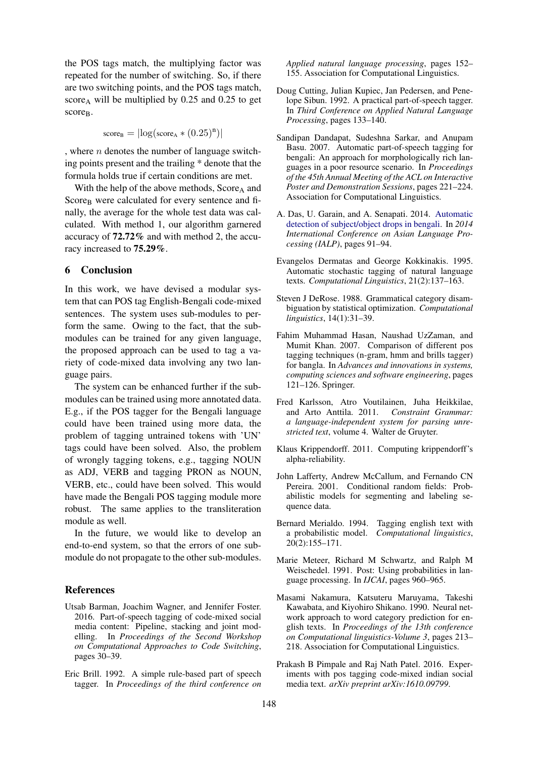the POS tags match, the multiplying factor was repeated for the number of switching. So, if there are two switching points, and the POS tags match, score<sub>A</sub> will be multiplied by  $0.25$  and  $0.25$  to get score<sub>B</sub>.

$$
score_B = |log(score_A * (0.25)^n)|
$$

, where  $n$  denotes the number of language switching points present and the trailing \* denote that the formula holds true if certain conditions are met.

With the help of the above methods,  $Score_A$  and Score<sub>B</sub> were calculated for every sentence and finally, the average for the whole test data was calculated. With method 1, our algorithm garnered accuracy of 72.72% and with method 2, the accuracy increased to 75.29%.

# <span id="page-5-0"></span>6 Conclusion

In this work, we have devised a modular system that can POS tag English-Bengali code-mixed sentences. The system uses sub-modules to perform the same. Owing to the fact, that the submodules can be trained for any given language, the proposed approach can be used to tag a variety of code-mixed data involving any two language pairs.

The system can be enhanced further if the submodules can be trained using more annotated data. E.g., if the POS tagger for the Bengali language could have been trained using more data, the problem of tagging untrained tokens with 'UN' tags could have been solved. Also, the problem of wrongly tagging tokens, e.g., tagging NOUN as ADJ, VERB and tagging PRON as NOUN, VERB, etc., could have been solved. This would have made the Bengali POS tagging module more robust. The same applies to the transliteration module as well.

In the future, we would like to develop an end-to-end system, so that the errors of one submodule do not propagate to the other sub-modules.

#### References

- <span id="page-5-13"></span>Utsab Barman, Joachim Wagner, and Jennifer Foster. 2016. Part-of-speech tagging of code-mixed social media content: Pipeline, stacking and joint modelling. In *Proceedings of the Second Workshop on Computational Approaches to Code Switching*, pages 30–39.
- <span id="page-5-7"></span>Eric Brill. 1992. A simple rule-based part of speech tagger. In *Proceedings of the third conference on*

*Applied natural language processing*, pages 152– 155. Association for Computational Linguistics.

- <span id="page-5-3"></span>Doug Cutting, Julian Kupiec, Jan Pedersen, and Penelope Sibun. 1992. A practical part-of-speech tagger. In *Third Conference on Applied Natural Language Processing*, pages 133–140.
- <span id="page-5-11"></span>Sandipan Dandapat, Sudeshna Sarkar, and Anupam Basu. 2007. Automatic part-of-speech tagging for bengali: An approach for morphologically rich languages in a poor resource scenario. In *Proceedings of the 45th Annual Meeting of the ACL on Interactive Poster and Demonstration Sessions*, pages 221–224. Association for Computational Linguistics.
- <span id="page-5-14"></span>A. Das, U. Garain, and A. Senapati. 2014. [Automatic](https://doi.org/10.1109/IALP.2014.6973488) [detection of subject/object drops in bengali.](https://doi.org/10.1109/IALP.2014.6973488) In *2014 International Conference on Asian Language Processing (IALP)*, pages 91–94.
- <span id="page-5-4"></span>Evangelos Dermatas and George Kokkinakis. 1995. Automatic stochastic tagging of natural language texts. *Computational Linguistics*, 21(2):137–163.
- <span id="page-5-2"></span>Steven J DeRose. 1988. Grammatical category disambiguation by statistical optimization. *Computational linguistics*, 14(1):31–39.
- <span id="page-5-10"></span>Fahim Muhammad Hasan, Naushad UzZaman, and Mumit Khan. 2007. Comparison of different pos tagging techniques (n-gram, hmm and brills tagger) for bangla. In *Advances and innovations in systems, computing sciences and software engineering*, pages 121–126. Springer.
- <span id="page-5-1"></span>Fred Karlsson, Atro Voutilainen, Juha Heikkilae, and Arto Anttila. 2011. *Constraint Grammar: a language-independent system for parsing unrestricted text*, volume 4. Walter de Gruyter.
- <span id="page-5-15"></span>Klaus Krippendorff. 2011. Computing krippendorff's alpha-reliability.
- <span id="page-5-8"></span>John Lafferty, Andrew McCallum, and Fernando CN Pereira. 2001. Conditional random fields: Probabilistic models for segmenting and labeling sequence data.
- <span id="page-5-6"></span>Bernard Merialdo. 1994. Tagging english text with a probabilistic model. *Computational linguistics*, 20(2):155–171.
- <span id="page-5-5"></span>Marie Meteer, Richard M Schwartz, and Ralph M Weischedel. 1991. Post: Using probabilities in language processing. In *IJCAI*, pages 960–965.
- <span id="page-5-9"></span>Masami Nakamura, Katsuteru Maruyama, Takeshi Kawabata, and Kiyohiro Shikano. 1990. Neural network approach to word category prediction for english texts. In *Proceedings of the 13th conference on Computational linguistics-Volume 3*, pages 213– 218. Association for Computational Linguistics.
- <span id="page-5-12"></span>Prakash B Pimpale and Raj Nath Patel. 2016. Experiments with pos tagging code-mixed indian social media text. *arXiv preprint arXiv:1610.09799*.